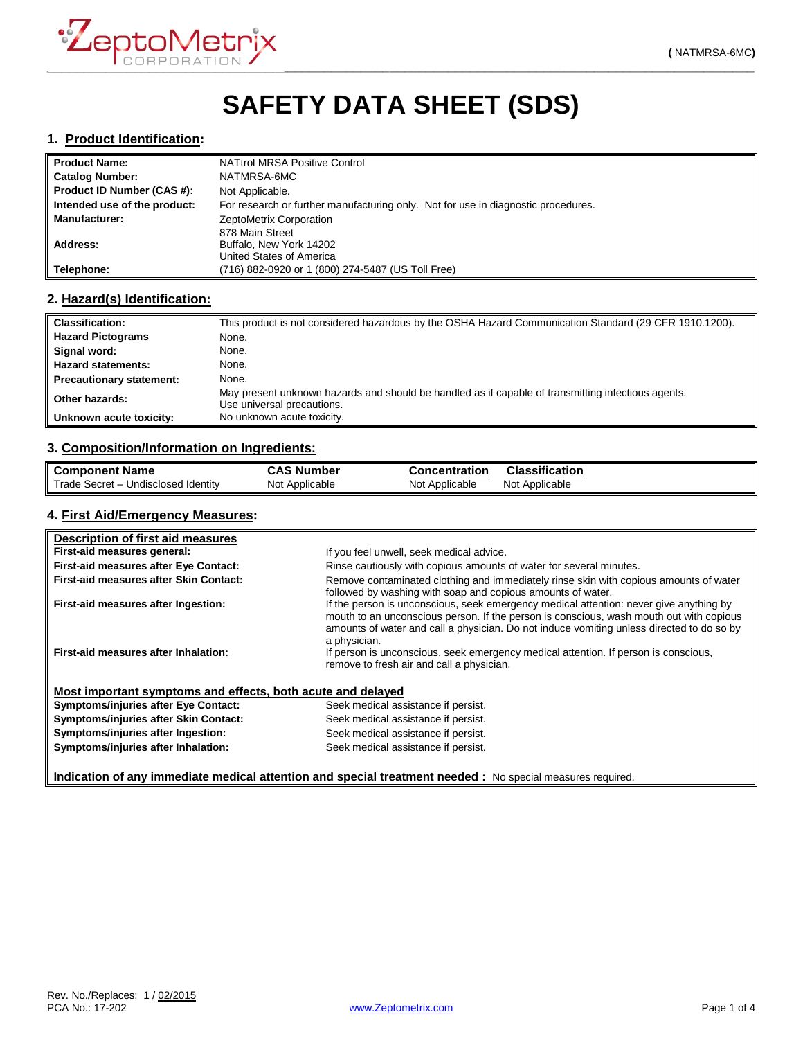

# **SAFETY DATA SHEET (SDS)**

#### **1. Product Identification:**

| <b>Product Name:</b>         | NATtrol MRSA Positive Control                                                     |
|------------------------------|-----------------------------------------------------------------------------------|
| <b>Catalog Number:</b>       | NATMRSA-6MC                                                                       |
| Product ID Number (CAS #):   | Not Applicable.                                                                   |
| Intended use of the product: | For research or further manufacturing only. Not for use in diagnostic procedures. |
| <b>Manufacturer:</b>         | ZeptoMetrix Corporation                                                           |
|                              | 878 Main Street                                                                   |
| Address:                     | Buffalo, New York 14202                                                           |
|                              | United States of America                                                          |
| Telephone:                   | (716) 882-0920 or 1 (800) 274-5487 (US Toll Free)                                 |

## **2. Hazard(s) Identification:**

| <b>Classification:</b>          | This product is not considered hazardous by the OSHA Hazard Communication Standard (29 CFR 1910.1200).                           |
|---------------------------------|----------------------------------------------------------------------------------------------------------------------------------|
| <b>Hazard Pictograms</b>        | None.                                                                                                                            |
| Signal word:                    | None.                                                                                                                            |
| <b>Hazard statements:</b>       | None.                                                                                                                            |
| <b>Precautionary statement:</b> | None.                                                                                                                            |
| Other hazards:                  | May present unknown hazards and should be handled as if capable of transmitting infectious agents.<br>Use universal precautions. |
| Unknown acute toxicity:         | No unknown acute toxicity.                                                                                                       |

### **3. Composition/Information on Ingredients:**

| <b>Component Name</b>               | <b>CAS Number</b> | Concentration  | <b>Classification</b> |
|-------------------------------------|-------------------|----------------|-----------------------|
| Trade Secret - Undisclosed Identity | Not Applicable    | Not Applicable | Not Applicable        |

## **4. First Aid/Emergency Measures:**

| Description of first aid measures                           |                                                                                                                                                                                                                                                                                                |
|-------------------------------------------------------------|------------------------------------------------------------------------------------------------------------------------------------------------------------------------------------------------------------------------------------------------------------------------------------------------|
| First-aid measures general:                                 | If you feel unwell, seek medical advice.                                                                                                                                                                                                                                                       |
| <b>First-aid measures after Eye Contact:</b>                | Rinse cautiously with copious amounts of water for several minutes.                                                                                                                                                                                                                            |
| First-aid measures after Skin Contact:                      | Remove contaminated clothing and immediately rinse skin with copious amounts of water<br>followed by washing with soap and copious amounts of water.                                                                                                                                           |
| First-aid measures after Ingestion:                         | If the person is unconscious, seek emergency medical attention: never give anything by<br>mouth to an unconscious person. If the person is conscious, wash mouth out with copious<br>amounts of water and call a physician. Do not induce vomiting unless directed to do so by<br>a physician. |
| First-aid measures after Inhalation:                        | If person is unconscious, seek emergency medical attention. If person is conscious,<br>remove to fresh air and call a physician.                                                                                                                                                               |
| Most important symptoms and effects, both acute and delayed |                                                                                                                                                                                                                                                                                                |
| <b>Symptoms/injuries after Eye Contact:</b>                 | Seek medical assistance if persist.                                                                                                                                                                                                                                                            |
| Symptoms/injuries after Skin Contact:                       | Seek medical assistance if persist.                                                                                                                                                                                                                                                            |
| Symptoms/injuries after Ingestion:                          | Seek medical assistance if persist.                                                                                                                                                                                                                                                            |
| Symptoms/injuries after Inhalation:                         | Seek medical assistance if persist.                                                                                                                                                                                                                                                            |

**Indication of any immediate medical attention and special treatment needed :** No special measures required.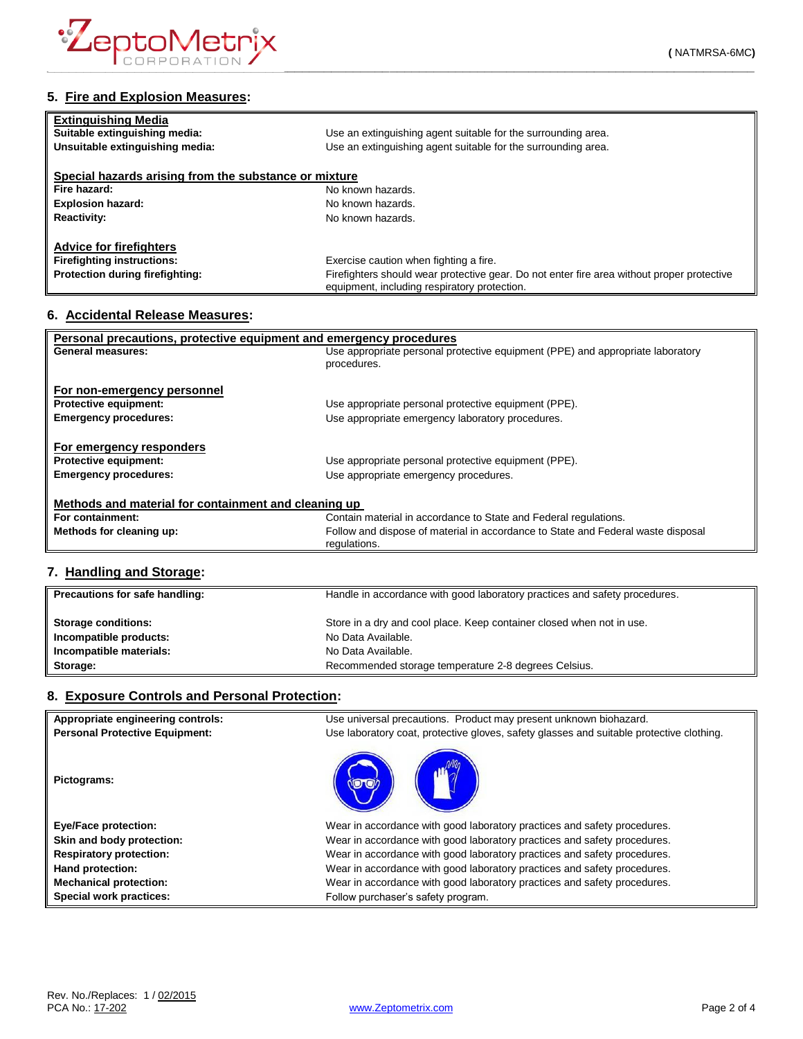

| <b>Extinguishing Media</b>                            |                                                                                                                                            |  |
|-------------------------------------------------------|--------------------------------------------------------------------------------------------------------------------------------------------|--|
| Suitable extinguishing media:                         | Use an extinguishing agent suitable for the surrounding area.                                                                              |  |
| Unsuitable extinguishing media:                       | Use an extinguishing agent suitable for the surrounding area.                                                                              |  |
| Special hazards arising from the substance or mixture |                                                                                                                                            |  |
| Fire hazard:                                          | No known hazards.                                                                                                                          |  |
| <b>Explosion hazard:</b>                              | No known hazards.                                                                                                                          |  |
| <b>Reactivity:</b>                                    | No known hazards.                                                                                                                          |  |
| <b>Advice for firefighters</b>                        |                                                                                                                                            |  |
| <b>Firefighting instructions:</b>                     | Exercise caution when fighting a fire.                                                                                                     |  |
| <b>Protection during firefighting:</b>                | Firefighters should wear protective gear. Do not enter fire area without proper protective<br>equipment, including respiratory protection. |  |

#### **6. Accidental Release Measures:**

| Personal precautions, protective equipment and emergency procedures |                                                                                  |  |
|---------------------------------------------------------------------|----------------------------------------------------------------------------------|--|
| <b>General measures:</b>                                            | Use appropriate personal protective equipment (PPE) and appropriate laboratory   |  |
|                                                                     | procedures.                                                                      |  |
|                                                                     |                                                                                  |  |
| For non-emergency personnel                                         |                                                                                  |  |
| <b>Protective equipment:</b>                                        | Use appropriate personal protective equipment (PPE).                             |  |
| <b>Emergency procedures:</b>                                        | Use appropriate emergency laboratory procedures.                                 |  |
|                                                                     |                                                                                  |  |
| For emergency responders                                            |                                                                                  |  |
| <b>Protective equipment:</b>                                        | Use appropriate personal protective equipment (PPE).                             |  |
| <b>Emergency procedures:</b>                                        | Use appropriate emergency procedures.                                            |  |
|                                                                     |                                                                                  |  |
| Methods and material for containment and cleaning up                |                                                                                  |  |
| For containment:                                                    | Contain material in accordance to State and Federal regulations.                 |  |
| Methods for cleaning up:                                            | Follow and dispose of material in accordance to State and Federal waste disposal |  |
|                                                                     | regulations.                                                                     |  |

### **7. Handling and Storage:**

| Precautions for safe handling: | Handle in accordance with good laboratory practices and safety procedures. |
|--------------------------------|----------------------------------------------------------------------------|
| <b>Storage conditions:</b>     | Store in a dry and cool place. Keep container closed when not in use.      |
| Incompatible products:         | No Data Available.                                                         |
| Incompatible materials:        | No Data Available.                                                         |
| Storage:                       | Recommended storage temperature 2-8 degrees Celsius.                       |

# **8. Exposure Controls and Personal Protection:**

| Appropriate engineering controls:     | Use universal precautions. Product may present unknown biohazard.                        |
|---------------------------------------|------------------------------------------------------------------------------------------|
| <b>Personal Protective Equipment:</b> | Use laboratory coat, protective gloves, safety glasses and suitable protective clothing. |
| Pictograms:                           |                                                                                          |
| <b>Eye/Face protection:</b>           | Wear in accordance with good laboratory practices and safety procedures.                 |
| Skin and body protection:             | Wear in accordance with good laboratory practices and safety procedures.                 |
| <b>Respiratory protection:</b>        | Wear in accordance with good laboratory practices and safety procedures.                 |
| Hand protection:                      | Wear in accordance with good laboratory practices and safety procedures.                 |
| <b>Mechanical protection:</b>         | Wear in accordance with good laboratory practices and safety procedures.                 |
| <b>Special work practices:</b>        | Follow purchaser's safety program.                                                       |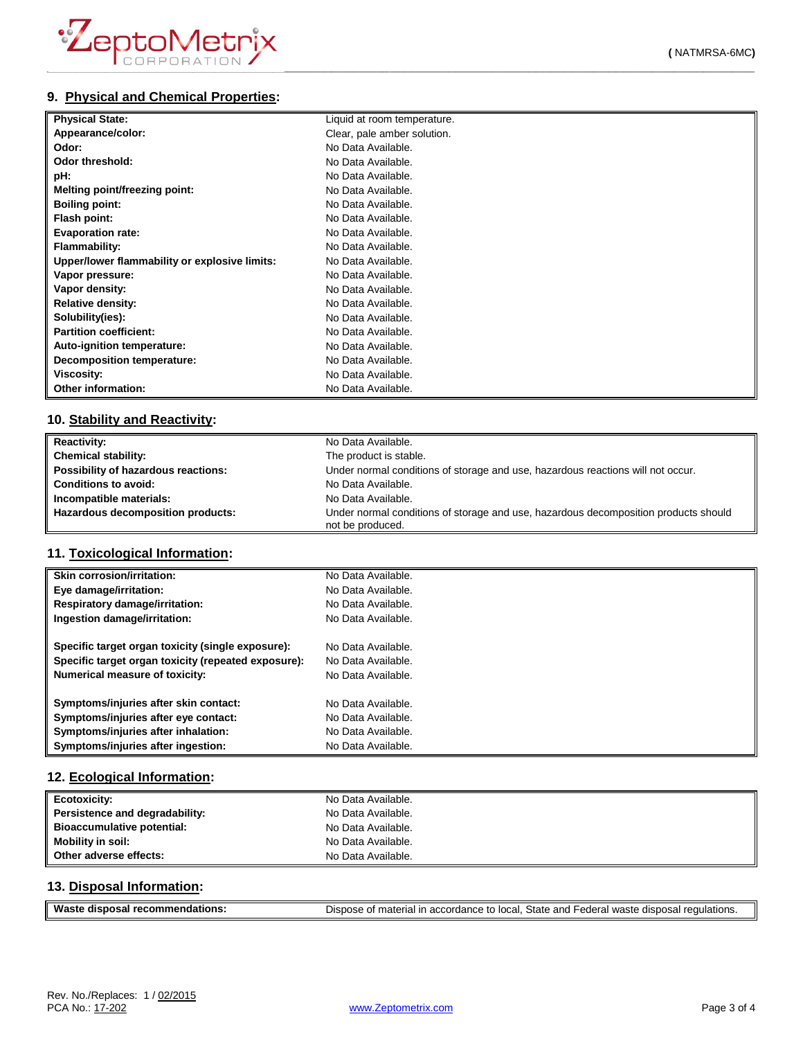# **9. Physical and Chemical Properties:**

| <b>Physical State:</b>                        | Liquid at room temperature. |
|-----------------------------------------------|-----------------------------|
| Appearance/color:                             | Clear, pale amber solution. |
| Odor:                                         | No Data Available.          |
| Odor threshold:                               | No Data Available.          |
| pH:                                           | No Data Available.          |
| Melting point/freezing point:                 | No Data Available.          |
| <b>Boiling point:</b>                         | No Data Available.          |
| Flash point:                                  | No Data Available.          |
| <b>Evaporation rate:</b>                      | No Data Available.          |
| <b>Flammability:</b>                          | No Data Available.          |
| Upper/lower flammability or explosive limits: | No Data Available.          |
| Vapor pressure:                               | No Data Available.          |
| Vapor density:                                | No Data Available.          |
| <b>Relative density:</b>                      | No Data Available.          |
| Solubility(ies):                              | No Data Available.          |
| <b>Partition coefficient:</b>                 | No Data Available.          |
| Auto-ignition temperature:                    | No Data Available.          |
| <b>Decomposition temperature:</b>             | No Data Available.          |
| Viscosity:                                    | No Data Available.          |
| Other information:                            | No Data Available.          |

### **10. Stability and Reactivity:**

| <b>Reactivity:</b>                  | No Data Available.                                                                                      |
|-------------------------------------|---------------------------------------------------------------------------------------------------------|
| <b>Chemical stability:</b>          | The product is stable.                                                                                  |
| Possibility of hazardous reactions: | Under normal conditions of storage and use, hazardous reactions will not occur.                         |
| <b>Conditions to avoid:</b>         | No Data Available.                                                                                      |
| Incompatible materials:             | No Data Available.                                                                                      |
| Hazardous decomposition products:   | Under normal conditions of storage and use, hazardous decomposition products should<br>not be produced. |

### **11. Toxicological Information:**

| Skin corrosion/irritation:                          | No Data Available. |
|-----------------------------------------------------|--------------------|
| Eye damage/irritation:                              | No Data Available. |
| Respiratory damage/irritation:                      | No Data Available. |
| Ingestion damage/irritation:                        | No Data Available. |
| Specific target organ toxicity (single exposure):   | No Data Available. |
| Specific target organ toxicity (repeated exposure): | No Data Available. |
| Numerical measure of toxicity:                      | No Data Available. |
| Symptoms/injuries after skin contact:               | No Data Available. |
| Symptoms/injuries after eye contact:                | No Data Available. |
| Symptoms/injuries after inhalation:                 | No Data Available. |
| Symptoms/injuries after ingestion:                  | No Data Available. |

### **12. Ecological Information:**

| Ecotoxicity:                   | No Data Available. |
|--------------------------------|--------------------|
| Persistence and degradability: | No Data Available. |
| Bioaccumulative potential:     | No Data Available. |
| <b>Mobility in soil:</b>       | No Data Available. |
| Other adverse effects:         | No Data Available. |

### **13. Disposal Information:**

| Waste disposal recommendations: | Dispose of material in accordance to local, State and Federal waste disposal regulations. |
|---------------------------------|-------------------------------------------------------------------------------------------|